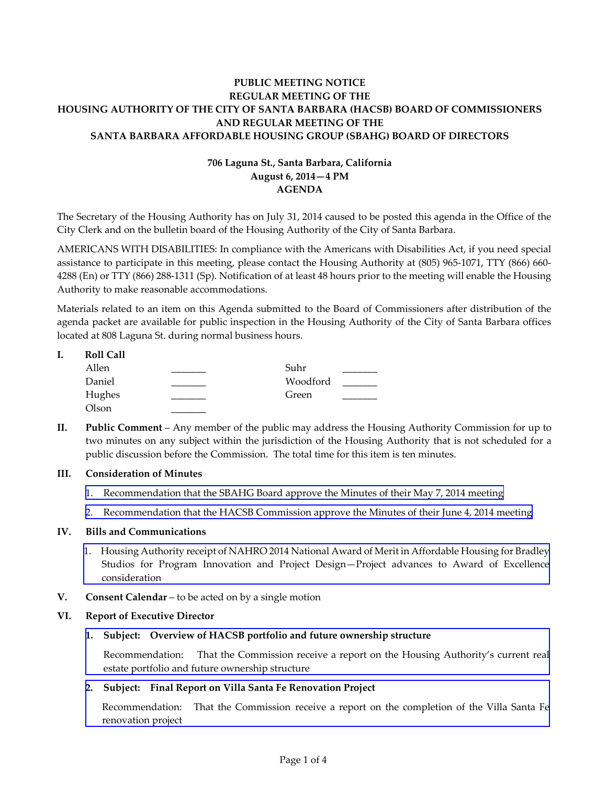# **PUBLIC MEETING NOTICE REGULAR MEETING OF THE HOUSING AUTHORITY OF THE CITY OF SANTA BARBARA (HACSB) BOARD OF COMMISSIONERS AND REGULAR MEETING OF THE SANTA BARBARA AFFORDABLE HOUSING GROUP (SBAHG) BOARD OF DIRECTORS**

# **706 Laguna St., Santa Barbara, California August 6, 2014—4 PM AGENDA**

The Secretary of the Housing Authority has on July 31, 2014 caused to be posted this agenda in the Office of the City Clerk and on the bulletin board of the Housing Authority of the City of Santa Barbara.

AMERICANS WITH DISABILITIES: In compliance with the Americans with Disabilities Act, if you need special assistance to participate in this meeting, please contact the Housing Authority at (805) 965-1071, TTY (866) 660- 4288 (En) or TTY (866) 288-1311 (Sp). Notification of at least 48 hours prior to the meeting will enable the Housing Authority to make reasonable accommodations.

Materials related to an item on this Agenda submitted to the Board of Commissioners after distribution of the agenda packet are available for public inspection in the Housing Authority of the City of Santa Barbara offices located at 808 Laguna St. during normal business hours.

|  | <b>Roll Call</b> |          |  |
|--|------------------|----------|--|
|  | Allen            | Suhr     |  |
|  | Daniel           | Woodford |  |
|  | Hughes           | Green    |  |
|  | Olson            |          |  |

**II. Public Comment** – Any member of the public may address the Housing Authority Commission for up to two minutes on any subject within the jurisdiction of the Housing Authority that is not scheduled for a public discussion before the Commission. The total time for this item is ten minutes.

### **III. Consideration of Minutes**

- 1. [Recommendation that the SBAHG Board approve the Minutes of their May 7, 2014 meeting](http://www.hacsb.org/Library/agendas_minutes/2014/agenda_packet/Agenda_Packet_2014_08_06/item_III_I_2014_08_06.pdf)
- 2. [Recommendation that the HACSB Commission approve the Minutes of their June 4, 2014 meeting](http://www.hacsb.org/Library/agendas_minutes/2014/agenda_packet/Agenda_Packet_2014_08_06/item_III_II_2014_08_06.pdf)

#### **IV. Bills and Communications**

- [1. Housing Authority receipt of NAHRO 2014 National Award of Merit in Affordable Housing for Bradley](Agenda_Packet_2014_08_06/item_IV_I_2014_08_06.pdf) Studios for Program Innovation and Project Design—Project advances to Award of Excellence consideration
- **V. Consent Calendar** to be acted on by a single motion

#### **VI. Report of Executive Director**

**1. Subject: Overview of HACSB portfolio and future ownership structure** 

[Recommendation: That the Commission receive a report on the Housing Authority's current real](http://www.hacsb.org/Library/agendas_minutes/2014/agenda_packet/Agenda_Packet_2014_08_06/item_VI_I_2014_08_06.pdf) estate portfolio and future ownership structure

### **2. [Subject: Final Report on Villa Santa Fe Renovation Project](http://www.hacsb.org/Library/agendas_minutes/2014/agenda_packet/Agenda_Packet_2014_08_06/item_VI_II_2014_08_06.pdf)**

Recommendation: That the Commission receive a report on the completion of the Villa Santa Fe renovation project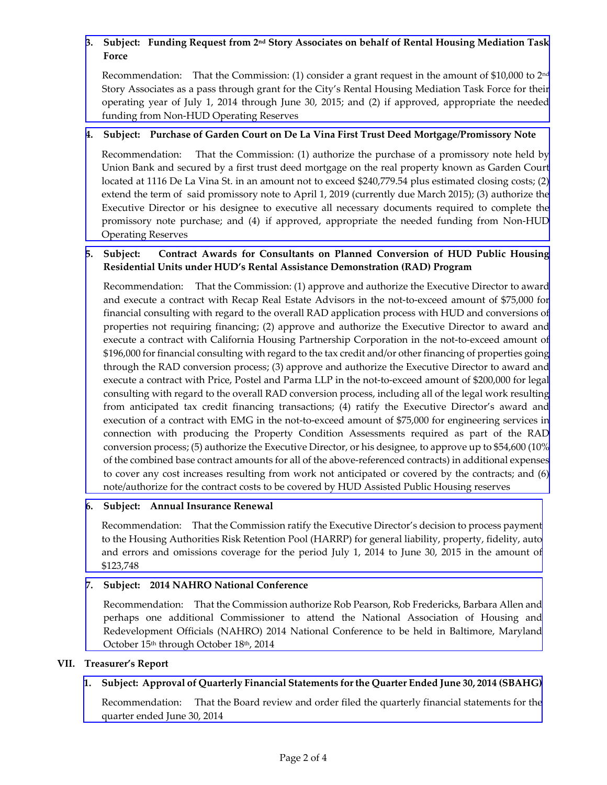# **3. Subject: Funding Request from 2nd Story Associates on behalf of Rental Housing Mediation Task Force**

Recommendation: That the Commission: (1) consider a grant request in the amount of \$10,000 to  $2<sup>nd</sup>$ [Story Associates as a pass through grant for the City's Rental Housing Mediation Task Force for their](http://www.hacsb.org/Library/agendas_minutes/2014/agenda_packet/Agenda_Packet_2014_08_06/item_VI_III_2014_08_06.pdf) operating year of July 1, 2014 through June 30, 2015; and (2) if approved, appropriate the needed funding from Non-HUD Operating Reserves

## **4. Subject: Purchase of Garden Court on De La Vina First Trust Deed Mortgage/Promissory Note**

[Recommendation: That the Commission: \(1\) authorize the purchase of a promissory note held by](http://www.hacsb.org/Library/agendas_minutes/2014/agenda_packet/Agenda_Packet_2014_08_06/item_VI_IV_2014_08_06.pdf) Union Bank and secured by a first trust deed mortgage on the real property known as Garden Court located at 1116 De La Vina St. in an amount not to exceed \$240,779.54 plus estimated closing costs; (2) extend the term of said promissory note to April 1, 2019 (currently due March 2015); (3) authorize the Executive Director or his designee to executive all necessary documents required to complete the promissory note purchase; and (4) if approved, appropriate the needed funding from Non-HUD Operating Reserves

# **5. [Subject: Contract Awards for Consultants on Planned Conversion of HUD Public Housing](http://www.hacsb.org/Library/agendas_minutes/2014/agenda_packet/Agenda_Packet_2014_08_06/item_VI_V_2014_08_06.pdf)  Residential Units under HUD's Rental Assistance Demonstration (RAD) Program**

Recommendation: That the Commission: (1) approve and authorize the Executive Director to award and execute a contract with Recap Real Estate Advisors in the not-to-exceed amount of \$75,000 for financial consulting with regard to the overall RAD application process with HUD and conversions of properties not requiring financing; (2) approve and authorize the Executive Director to award and execute a contract with California Housing Partnership Corporation in the not-to-exceed amount of \$196,000 for financial consulting with regard to the tax credit and/or other financing of properties going through the RAD conversion process; (3) approve and authorize the Executive Director to award and execute a contract with Price, Postel and Parma LLP in the not-to-exceed amount of \$200,000 for legal consulting with regard to the overall RAD conversion process, including all of the legal work resulting from anticipated tax credit financing transactions; (4) ratify the Executive Director's award and execution of a contract with EMG in the not-to-exceed amount of \$75,000 for engineering services in connection with producing the Property Condition Assessments required as part of the RAD conversion process; (5) authorize the Executive Director, or his designee, to approve up to \$54,600 (10% of the combined base contract amounts for all of the above-referenced contracts) in additional expenses to cover any cost increases resulting from work not anticipated or covered by the contracts; and (6) note/authorize for the contract costs to be covered by HUD Assisted Public Housing reserves

### **6. Subject: Annual Insurance Renewal**

Recommendation: That the Commission ratify the Executive Director's decision to process payment [to the Housing Authorities Risk Retention Pool \(HARRP\) for general liability, property, fidelity, auto](http://www.hacsb.org/Library/agendas_minutes/2014/agenda_packet/Agenda_Packet_2014_08_06/item_VI_VI_2014_08_06.pdf) and errors and omissions coverage for the period July 1, 2014 to June 30, 2015 in the amount of \$123,748

### **7. Subject: 2014 NAHRO National Conference**

[Recommendation: That the Commission authorize Rob Pearson, Rob Fredericks, Barbara Allen and](http://www.hacsb.org/Library/agendas_minutes/2014/agenda_packet/Agenda_Packet_2014_08_06/item_VI_VII_2014_08_06.pdf) perhaps one additional Commissioner to attend the National Association of Housing and Redevelopment Officials (NAHRO) 2014 National Conference to be held in Baltimore, Maryland October 15<sup>th</sup> through October 18<sup>th</sup>, 2014

### **VII. Treasurer's Report**

# **1. [Subject: Approval of Quarterly Financial Statements for the Quarter Ended June 30, 2014 \(SBAHG\)](http://www.hacsb.org/Library/agendas_minutes/2014/agenda_packet/Agenda_Packet_2014_08_06/item_VII_I_2014_08_06.pdf)**

Recommendation: That the Board review and order filed the quarterly financial statements for the quarter ended June 30, 2014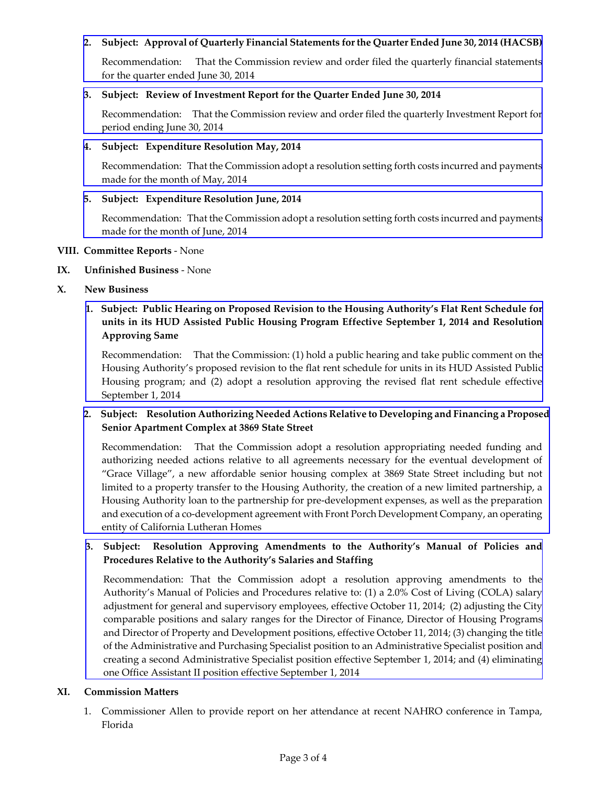### **2. [Subject: Approval of Quarterly Financial Statements for the Quarter Ended June 30, 2014 \(HACSB\)](http://www.hacsb.org/Library/agendas_minutes/2014/agenda_packet/Agenda_Packet_2014_08_06/item_VII_II_2014_08_06.pdf)**

Recommendation: That the Commission review and order filed the quarterly financial statements for the quarter ended June 30, 2014

#### **3. Subject: Review of Investment Report for the Quarter Ended June 30, 2014**

[Recommendation: That the Commission review and order filed the quarterly Investment Report for](http://www.hacsb.org/Library/agendas_minutes/2014/agenda_packet/Agenda_Packet_2014_08_06/item_VII_III_2014_08_06.pdf) period ending June 30, 2014

#### **4. Subject: Expenditure Resolution May, 2014**

[Recommendation: That the Commission adopt a resolution setting forth costs incurred and payments](http://www.hacsb.org/Library/agendas_minutes/2014/agenda_packet/Agenda_Packet_2014_08_06/item_VII_IV_2014_08_06.pdf) made for the month of May, 2014

### **5. Subject: Expenditure Resolution June, 2014**

[Recommendation: That the Commission adopt a resolution setting forth costs incurred and payments](http://www.hacsb.org/Library/agendas_minutes/2014/agenda_packet/Agenda_Packet_2014_08_06/item_VII_V_2014_08_06.pdf) made for the month of June, 2014

#### **VIII. Committee Reports** - None

- **IX. Unfinished Business**  None
- **X. New Business**

# **[1. Subject: Public Hearing on Proposed Revision to the Housing Authority's Flat Rent Schedule for](http://www.hacsb.org/Library/agendas_minutes/2014/agenda_packet/Agenda_Packet_2014_08_06/item_X_I_2014_08_06.pdf) units in its HUD Assisted Public Housing Program Effective September 1, 2014 and Resolution Approving Same**

Recommendation: That the Commission: (1) hold a public hearing and take public comment on the Housing Authority's proposed revision to the flat rent schedule for units in its HUD Assisted Public Housing program; and (2) adopt a resolution approving the revised flat rent schedule effective September 1, 2014

## **[2. Subject: Resolution Authorizing Needed Actions Relative to Developing and Financing a Proposed](http://www.hacsb.org/Library/agendas_minutes/2014/agenda_packet/Agenda_Packet_2014_08_06/item_X_II_2014_08_06.pdf)  Senior Apartment Complex at 3869 State Street**

Recommendation: That the Commission adopt a resolution appropriating needed funding and authorizing needed actions relative to all agreements necessary for the eventual development of "Grace Village", a new affordable senior housing complex at 3869 State Street including but not limited to a property transfer to the Housing Authority, the creation of a new limited partnership, a Housing Authority loan to the partnership for pre-development expenses, as well as the preparation and execution of a co-development agreement with Front Porch Development Company, an operating entity of California Lutheran Homes

## **3. Subject: Resolution Approving Amendments to the Authority's Manual of Policies and Procedures Relative to the Authority's Salaries and Staffing**

Recommendation: That the Commission adopt a resolution approving amendments to the Authority's Manual of Policies and Procedures relative to: (1) a 2.0% Cost of Living (COLA) salary adjustment for general and supervisory employees, effective October 11, 2014; (2) adjusting the City comparable positions and salary ranges for the Director of Finance, Director of Housing Programs and Director of Property and Development positions, effective October 11, 2014; (3) changing the title of the Administrative and Purchasing Specialist position to an Administrative Specialist position and [creating a second Administrative Specialist position effective September 1, 2014; and \(4\) eliminating](http://www.hacsb.org/Library/agendas_minutes/2014/agenda_packet/Agenda_Packet_2014_08_06/item_X_III_2014_08_06.pdf) one Office Assistant II position effective September 1, 2014

### **XI. Commission Matters**

1. Commissioner Allen to provide report on her attendance at recent NAHRO conference in Tampa, Florida